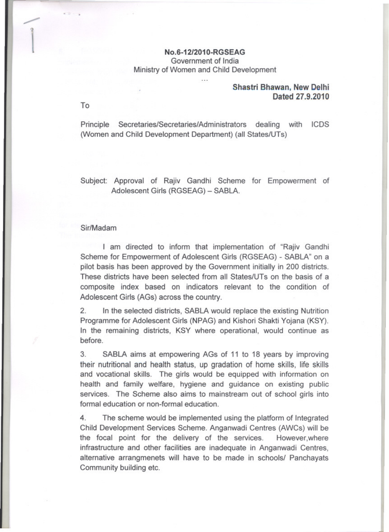# No.6-12/2010-RGSEAG Government of India Ministry of Women and Child Development

 $\cdots$ 

### Shastri Bhawan, New Delhi Dated 27.9.2010

To

Principle Secretaries/Secretaries/Administrators dealing with ICDS (Women and Child Development Department) (all States/UTs)

Subject: Approval of Rajiv Gandhi Scheme for Empowerment of Adolescent Girls (RGSEAG) - SABLA.

#### Sir/Madam

I am directed to inform that implementation of "Rajiv Gandhi Scheme for Empowerment of Adolescent Girls (RGSEAG) - SABLA" on a pilot basis has been approved by the Government initially in 200 districts. These districts have been selected from all States/UTs on the basis of a composite index based on indicators relevant to the condition of Adolescent Girls (AGs) across the country.

 $2.$ In the selected districts, SABLA would replace the existing Nutrition Programme for Adolescent Girls (NPAG) and Kishori Shakti Yojana (KSY). In the remaining districts, KSY where operational, would continue as before.

3. SABLA aims at empowering AGs of 11 to 18 years by improving their nutritional and health status, up gradation of home skills, life skills and vocational skills. The girls would be equipped with information on health and family welfare, hygiene and guidance on existing public services. The Scheme also aims to mainstream out of school girls into formal education or non-formal education.

 $4.$ The scheme would be implemented using the platform of Integrated Child Development Services Scheme. Anganwadi Centres (AWCs) will be the focal point for the delivery of the services. However, where infrastructure and other facilities are inadequate in Anganwadi Centres, alternative arrangmenets will have to be made in schools/ Panchayats Community building etc.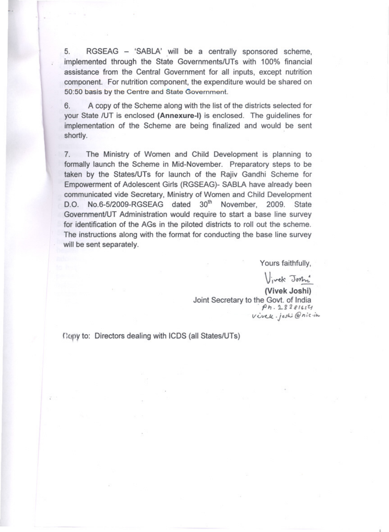5. RGSEAG - 'SABLA' will be a centrally sponsored scheme, implemented through the State Governments/UTs with 100% financial assistance from the Central Government for all inputs, except nutrition component. For nutrition component, the expenditure would be shared on 50:50 basis by the Centre and State Government.

6. A copy of the Scheme along with the list of the districts selected for your State /UT is enclosed (Annexure-I) is enclosed. The guidelines for implementation of the Scheme are being finalized and would be sent shortly.

7. The Ministry of Women and Child Development is planning to formally launch the Scheme in Mid-November. Preparatory steps to be taken by the States/UTs for launch of the Rajiv Gandhi Scheme for Empowerment of Adolescent Girls (RGSEAG)- SABLA have already been communicated vide Secretary, Ministry of Women and Child Development D.O. No.6-5/2009-RGSEAG dated 30<sup>th</sup> November, 2009. State Government/UT Administration would require to start a base line survey for identification of the AGs in the piloted districts to roll out the scheme. The instructions along with the format for conducting the base line survey will be sent separately.

Yours faithfully,

Vivek Joshi

(Vivek Joshi) Joint Secretary to the Govt. of India  $Ph. 18381654$ Vivek. joshi @nic.in

Copy to: Directors dealing with ICDS (all States/UTs)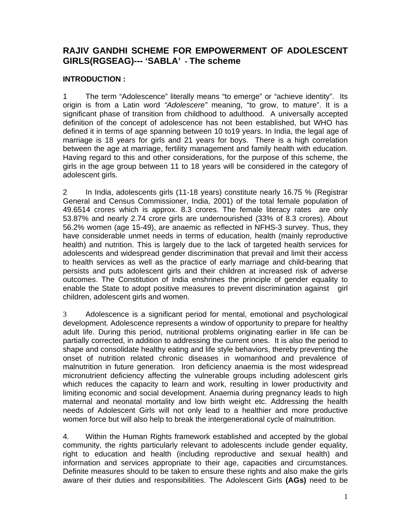# **RAJIV GANDHI SCHEME FOR EMPOWERMENT OF ADOLESCENT GIRLS(RGSEAG)--- 'SABLA' - The scheme**

# **INTRODUCTION :**

1 The term "Adolescence" literally means "to emerge" or "achieve identity". Its origin is from a Latin word *"Adolescere"* meaning, "to grow, to mature". It is a significant phase of transition from childhood to adulthood. A universally accepted definition of the concept of adolescence has not been established, but WHO has defined it in terms of age spanning between 10 to19 years. In India, the legal age of marriage is 18 years for girls and 21 years for boys. There is a high correlation between the age at marriage, fertility management and family health with education. Having regard to this and other considerations, for the purpose of this scheme, the girls in the age group between 11 to 18 years will be considered in the category of adolescent girls.

2 In India, adolescents girls (11-18 years) constitute nearly 16.75 % (Registrar General and Census Commissioner, India, 2001) of the total female population of 49.6514 crores which is approx. 8.3 crores. The female literacy rates are only 53.87% and nearly 2.74 crore girls are undernourished (33% of 8.3 crores). About 56.2% women (age 15-49), are anaemic as reflected in NFHS-3 survey. Thus, they have considerable unmet needs in terms of education, health (mainly reproductive health) and nutrition. This is largely due to the lack of targeted health services for adolescents and widespread gender discrimination that prevail and limit their access to health services as well as the practice of early marriage and child-bearing that persists and puts adolescent girls and their children at increased risk of adverse outcomes. The Constitution of India enshrines the principle of gender equality to enable the State to adopt positive measures to prevent discrimination against girl children, adolescent girls and women.

3 Adolescence is a significant period for mental, emotional and psychological development. Adolescence represents a window of opportunity to prepare for healthy adult life. During this period, nutritional problems originating earlier in life can be partially corrected, in addition to addressing the current ones. It is also the period to shape and consolidate healthy eating and life style behaviors, thereby preventing the onset of nutrition related chronic diseases in womanhood and prevalence of malnutrition in future generation. Iron deficiency anaemia is the most widespread micronutrient deficiency affecting the vulnerable groups including adolescent girls which reduces the capacity to learn and work, resulting in lower productivity and limiting economic and social development. Anaemia during pregnancy leads to high maternal and neonatal mortality and low birth weight etc. Addressing the health needs of Adolescent Girls will not only lead to a healthier and more productive women force but will also help to break the intergenerational cycle of malnutrition.

4. Within the Human Rights framework established and accepted by the global community, the rights particularly relevant to adolescents include gender equality, right to education and health (including reproductive and sexual health) and information and services appropriate to their age, capacities and circumstances. Definite measures should to be taken to ensure these rights and also make the girls aware of their duties and responsibilities. The Adolescent Girls **(AGs)** need to be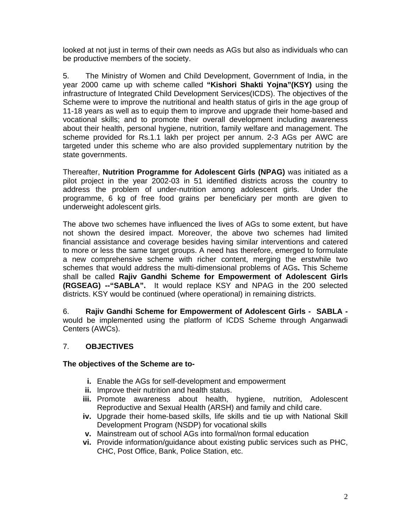looked at not just in terms of their own needs as AGs but also as individuals who can be productive members of the society.

5. The Ministry of Women and Child Development, Government of India, in the year 2000 came up with scheme called **"Kishori Shakti Yojna"(KSY)** using the infrastructure of Integrated Child Development Services(ICDS). The objectives of the Scheme were to improve the nutritional and health status of girls in the age group of 11-18 years as well as to equip them to improve and upgrade their home-based and vocational skills; and to promote their overall development including awareness about their health, personal hygiene, nutrition, family welfare and management. The scheme provided for Rs.1.1 lakh per project per annum. 2-3 AGs per AWC are targeted under this scheme who are also provided supplementary nutrition by the state governments.

Thereafter, **Nutrition Programme for Adolescent Girls (NPAG)** was initiated as a pilot project in the year 2002-03 in 51 identified districts across the country to address the problem of under-nutrition among adolescent girls. Under the programme, 6 kg of free food grains per beneficiary per month are given to underweight adolescent girls.

The above two schemes have influenced the lives of AGs to some extent, but have not shown the desired impact. Moreover, the above two schemes had limited financial assistance and coverage besides having similar interventions and catered to more or less the same target groups. A need has therefore, emerged to formulate a new comprehensive scheme with richer content, merging the erstwhile two schemes that would address the multi-dimensional problems of AGs**.** This Scheme shall be called **Rajiv Gandhi Scheme for Empowerment of Adolescent Girls (RGSEAG) --"SABLA".** It would replace KSY and NPAG in the 200 selected districts. KSY would be continued (where operational) in remaining districts.

6. **Rajiv Gandhi Scheme for Empowerment of Adolescent Girls - SABLA**  would be implemented using the platform of ICDS Scheme through Anganwadi Centers (AWCs).

# 7. **OBJECTIVES**

**The objectives of the Scheme are to-**

- **i.** Enable the AGs for self-development and empowerment
- **ii.** Improve their nutrition and health status.
- **iii.** Promote awareness about health, hygiene, nutrition, Adolescent Reproductive and Sexual Health (ARSH) and family and child care.
- **iv.** Upgrade their home-based skills, life skills and tie up with National Skill Development Program (NSDP) for vocational skills
- **v.** Mainstream out of school AGs into formal/non formal education
- **vi.** Provide information/guidance about existing public services such as PHC, CHC, Post Office, Bank, Police Station, etc.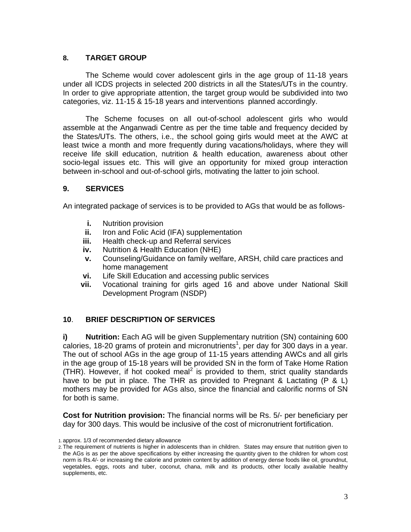### **8. TARGET GROUP**

The Scheme would cover adolescent girls in the age group of 11-18 years under all ICDS projects in selected 200 districts in all the States/UTs in the country. In order to give appropriate attention, the target group would be subdivided into two categories, viz. 11-15 & 15-18 years and interventions planned accordingly.

 The Scheme focuses on all out-of-school adolescent girls who would assemble at the Anganwadi Centre as per the time table and frequency decided by the States/UTs. The others, i.e., the school going girls would meet at the AWC at least twice a month and more frequently during vacations/holidays, where they will receive life skill education, nutrition & health education, awareness about other socio-legal issues etc. This will give an opportunity for mixed group interaction between in-school and out-of-school girls, motivating the latter to join school.

### **9. SERVICES**

An integrated package of services is to be provided to AGs that would be as follows-

- **i.** Nutrition provision
- **ii.** Iron and Folic Acid (IFA) supplementation
- **iii.** Health check-up and Referral services
- **iv.** Nutrition & Health Education (NHE)
- **v.** Counseling/Guidance on family welfare, ARSH, child care practices and home management
- **vi.** Life Skill Education and accessing public services
- **vii.** Vocational training for girls aged 16 and above under National Skill Development Program (NSDP)

# **10**. **BRIEF DESCRIPTION OF SERVICES**

**i) Nutrition:** Each AG will be given Supplementary nutrition (SN) containing 600  $c$ alories, 18-20 grams of protein and micronutrients<sup>1</sup>, per day for 300 days in a year. The out of school AGs in the age group of 11-15 years attending AWCs and all girls in the age group of 15-18 years will be provided SN in the form of Take Home Ration (THR). However, if hot cooked meal<sup>2</sup> is provided to them, strict quality standards have to be put in place. The THR as provided to Pregnant & Lactating (P & L) mothers may be provided for AGs also, since the financial and calorific norms of SN for both is same.

**Cost for Nutrition provision:** The financial norms will be Rs. 5/- per beneficiary per day for 300 days. This would be inclusive of the cost of micronutrient fortification.

<sup>1.</sup> approx. 1/3 of recommended dietary allowance

<sup>2.</sup> The requirement of nutrients is higher in adolescents than in children. States may ensure that nutrition given to the AGs is as per the above specifications by either increasing the quantity given to the children for whom cost norm is Rs.4/- or increasing the calorie and protein content by addition of energy dense foods like oil, groundnut, vegetables, eggs, roots and tuber, coconut, chana, milk and its products, other locally available healthy supplements, etc.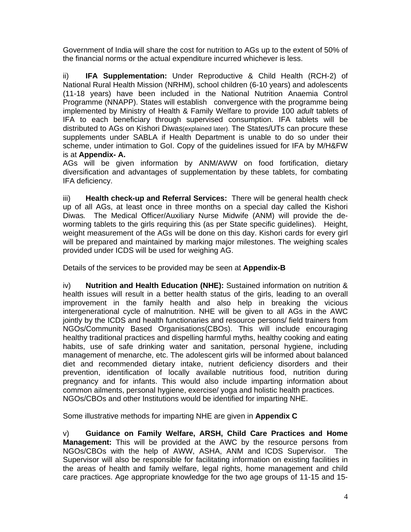Government of India will share the cost for nutrition to AGs up to the extent of 50% of the financial norms or the actual expenditure incurred whichever is less.

ii) **IFA Supplementation:** Under Reproductive & Child Health (RCH-2) of National Rural Health Mission (NRHM), school children (6-10 years) and adolescents (11-18 years) have been included in the National Nutrition Anaemia Control Programme (NNAPP). States will establish convergence with the programme being implemented by Ministry of Health & Family Welfare to provide 100 *adult* tablets of IFA to each beneficiary through supervised consumption. IFA tablets will be distributed to AGs on Kishori Diwas(explained later). The States/UTs can procure these supplements under SABLA if Health Department is unable to do so under their scheme, under intimation to GoI. Copy of the guidelines issued for IFA by M/H&FW is at **Appendix- A.**

AGs will be given information by ANM/AWW on food fortification, dietary diversification and advantages of supplementation by these tablets, for combating IFA deficiency.

iii) **Health check-up and Referral Services:** There will be general health check up of all AGs, at least once in three months on a special day called the Kishori Diwas*.* The Medical Officer/Auxiliary Nurse Midwife (ANM) will provide the deworming tablets to the girls requiring this (as per State specific guidelines). Height, weight measurement of the AGs will be done on this day. Kishori cards for every girl will be prepared and maintained by marking major milestones. The weighing scales provided under ICDS will be used for weighing AG.

Details of the services to be provided may be seen at **Appendix-B** 

iv) **Nutrition and Health Education (NHE):** Sustained information on nutrition & health issues will result in a better health status of the girls, leading to an overall improvement in the family health and also help in breaking the vicious intergenerational cycle of malnutrition. NHE will be given to all AGs in the AWC jointly by the ICDS and health functionaries and resource persons/ field trainers from NGOs/Community Based Organisations(CBOs). This will include encouraging healthy traditional practices and dispelling harmful myths, healthy cooking and eating habits, use of safe drinking water and sanitation, personal hygiene, including management of menarche, etc. The adolescent girls will be informed about balanced diet and recommended dietary intake, nutrient deficiency disorders and their prevention, identification of locally available nutritious food, nutrition during pregnancy and for infants. This would also include imparting information about common ailments, personal hygiene, exercise/ yoga and holistic health practices. NGOs/CBOs and other Institutions would be identified for imparting NHE.

Some illustrative methods for imparting NHE are given in **Appendix C**

v) **Guidance on Family Welfare, ARSH, Child Care Practices and Home Management:** This will be provided at the AWC by the resource persons from NGOs/CBOs with the help of AWW, ASHA, ANM and ICDS Supervisor. The Supervisor will also be responsible for facilitating information on existing facilities in the areas of health and family welfare, legal rights, home management and child care practices. Age appropriate knowledge for the two age groups of 11-15 and 15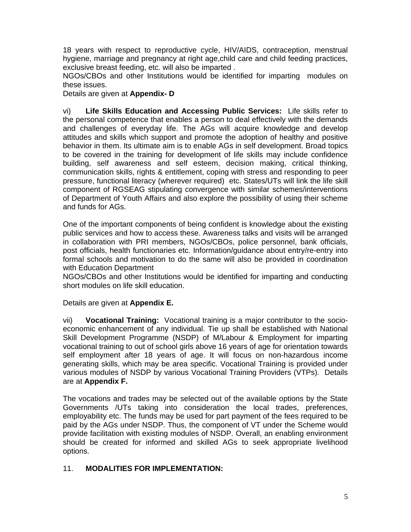18 years with respect to reproductive cycle, HIV/AIDS, contraception, menstrual hygiene, marriage and pregnancy at right age,child care and child feeding practices, exclusive breast feeding, etc. will also be imparted .

NGOs/CBOs and other Institutions would be identified for imparting modules on these issues.

Details are given at **Appendix- D** 

vi) **Life Skills Education and Accessing Public Services:** Life skills refer to the personal competence that enables a person to deal effectively with the demands and challenges of everyday life. The AGs will acquire knowledge and develop attitudes and skills which support and promote the adoption of healthy and positive behavior in them. Its ultimate aim is to enable AGs in self development. Broad topics to be covered in the training for development of life skills may include confidence building, self awareness and self esteem, decision making, critical thinking, communication skills, rights & entitlement, coping with stress and responding to peer pressure, functional literacy (wherever required) etc. States/UTs will link the life skill component of RGSEAG stipulating convergence with similar schemes/interventions of Department of Youth Affairs and also explore the possibility of using their scheme and funds for AGs.

One of the important components of being confident is knowledge about the existing public services and how to access these. Awareness talks and visits will be arranged in collaboration with PRI members, NGOs/CBOs, police personnel, bank officials, post officials, health functionaries etc. Information/guidance about entry/re-entry into formal schools and motivation to do the same will also be provided in coordination with Education Department

NGOs/CBOs and other Institutions would be identified for imparting and conducting short modules on life skill education.

Details are given at **Appendix E.**

vii) **Vocational Training:** Vocational training is a major contributor to the socioeconomic enhancement of any individual. Tie up shall be established with National Skill Development Programme (NSDP) of M/Labour & Employment for imparting vocational training to out of school girls above 16 years of age for orientation towards self employment after 18 years of age. It will focus on non-hazardous income generating skills, which may be area specific. Vocational Training is provided under various modules of NSDP by various Vocational Training Providers (VTPs). Details are at **Appendix F.** 

The vocations and trades may be selected out of the available options by the State Governments /UTs taking into consideration the local trades, preferences, employability etc. The funds may be used for part payment of the fees required to be paid by the AGs under NSDP. Thus, the component of VT under the Scheme would provide facilitation with existing modules of NSDP. Overall, an enabling environment should be created for informed and skilled AGs to seek appropriate livelihood options.

# 11. **MODALITIES FOR IMPLEMENTATION:**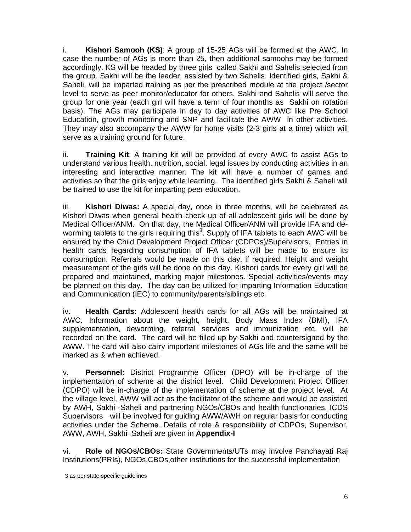i. **Kishori Samooh (KS)**: A group of 15-25 AGs will be formed at the AWC. In case the number of AGs is more than 25, then additional samoohs may be formed accordingly. KS will be headed by three girls called Sakhi and Sahelis selected from the group. Sakhi will be the leader, assisted by two Sahelis. Identified girls, Sakhi & Saheli, will be imparted training as per the prescribed module at the project /sector level to serve as peer monitor/educator for others. Sakhi and Sahelis will serve the group for one year (each girl will have a term of four months as Sakhi on rotation basis). The AGs may participate in day to day activities of AWC like Pre School Education, growth monitoring and SNP and facilitate the AWW in other activities. They may also accompany the AWW for home visits (2-3 girls at a time) which will serve as a training ground for future.

ii. **Training Kit**: A training kit will be provided at every AWC to assist AGs to understand various health, nutrition, social, legal issues by conducting activities in an interesting and interactive manner. The kit will have a number of games and activities so that the girls enjoy while learning. The identified girls Sakhi & Saheli will be trained to use the kit for imparting peer education.

iii. **Kishori Diwas:** A special day, once in three months, will be celebrated as Kishori Diwas when general health check up of all adolescent girls will be done by Medical Officer/ANM. On that day, the Medical Officer/ANM will provide IFA and deworming tablets to the girls requiring this<sup>3</sup>. Supply of IFA tablets to each AWC will be ensured by the Child Development Project Officer (CDPOs)/Supervisors. Entries in health cards regarding consumption of IFA tablets will be made to ensure its consumption. Referrals would be made on this day, if required. Height and weight measurement of the girls will be done on this day. Kishori cards for every girl will be prepared and maintained, marking major milestones. Special activities/events may be planned on this day. The day can be utilized for imparting Information Education and Communication (IEC) to community/parents/siblings etc.

iv. **Health Cards:** Adolescent health cards for all AGs will be maintained at AWC. Information about the weight, height, Body Mass Index (BMI), IFA supplementation, deworming, referral services and immunization etc. will be recorded on the card. The card will be filled up by Sakhi and countersigned by the AWW. The card will also carry important milestones of AGs life and the same will be marked as & when achieved.

v. **Personnel:** District Programme Officer (DPO) will be in-charge of the implementation of scheme at the district level. Child Development Project Officer (CDPO) will be in-charge of the implementation of scheme at the project level. At the village level, AWW will act as the facilitator of the scheme and would be assisted by AWH, Sakhi -Saheli and partnering NGOs/CBOs and health functionaries. ICDS Supervisors will be involved for guiding AWW/AWH on regular basis for conducting activities under the Scheme. Details of role & responsibility of CDPOs, Supervisor, AWW, AWH, Sakhi–Saheli are given in **Appendix-I**

vi. **Role of NGOs/CBOs:** State Governments/UTs may involve Panchayati Raj Institutions(PRIs), NGOs,CBOs,other institutions for the successful implementation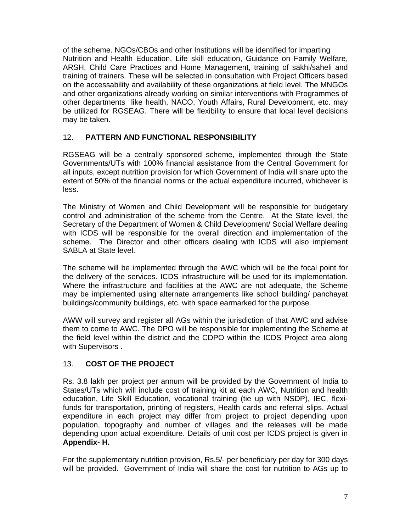of the scheme. NGOs/CBOs and other Institutions will be identified for imparting Nutrition and Health Education, Life skill education, Guidance on Family Welfare, ARSH, Child Care Practices and Home Management, training of sakhi/saheli and training of trainers. These will be selected in consultation with Project Officers based on the accessability and availability of these organizations at field level. The MNGOs and other organizations already working on similar interventions with Programmes of other departments like health, NACO, Youth Affairs, Rural Development, etc. may be utilized for RGSEAG. There will be flexibility to ensure that local level decisions may be taken.

# 12. **PATTERN AND FUNCTIONAL RESPONSIBILITY**

RGSEAG will be a centrally sponsored scheme, implemented through the State Governments/UTs with 100% financial assistance from the Central Government for all inputs, except nutrition provision for which Government of India will share upto the extent of 50% of the financial norms or the actual expenditure incurred, whichever is less.

The Ministry of Women and Child Development will be responsible for budgetary control and administration of the scheme from the Centre. At the State level, the Secretary of the Department of Women & Child Development/ Social Welfare dealing with ICDS will be responsible for the overall direction and implementation of the scheme. The Director and other officers dealing with ICDS will also implement SABLA at State level.

The scheme will be implemented through the AWC which will be the focal point for the delivery of the services. ICDS infrastructure will be used for its implementation. Where the infrastructure and facilities at the AWC are not adequate, the Scheme may be implemented using alternate arrangements like school building/ panchayat buildings/community buildings, etc. with space earmarked for the purpose.

AWW will survey and register all AGs within the jurisdiction of that AWC and advise them to come to AWC. The DPO will be responsible for implementing the Scheme at the field level within the district and the CDPO within the ICDS Project area along with Supervisors .

# 13. **COST OF THE PROJECT**

Rs. 3.8 lakh per project per annum will be provided by the Government of India to States/UTs which will include cost of training kit at each AWC, Nutrition and health education, Life Skill Education, vocational training (tie up with NSDP), IEC, flexifunds for transportation, printing of registers, Health cards and referral slips. Actual expenditure in each project may differ from project to project depending upon population, topography and number of villages and the releases will be made depending upon actual expenditure. Details of unit cost per ICDS project is given in **Appendix- H.**

For the supplementary nutrition provision, Rs.5/- per beneficiary per day for 300 days will be provided. Government of India will share the cost for nutrition to AGs up to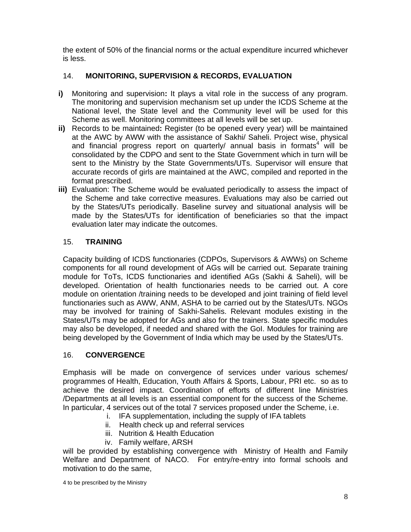the extent of 50% of the financial norms or the actual expenditure incurred whichever is less.

# 14. **MONITORING, SUPERVISION & RECORDS, EVALUATION**

- **i)** Monitoring and supervision**:** It plays a vital role in the success of any program. The monitoring and supervision mechanism set up under the ICDS Scheme at the National level, the State level and the Community level will be used for this Scheme as well. Monitoring committees at all levels will be set up.
- **ii)** Records to be maintained**:** Register (to be opened every year) will be maintained at the AWC by AWW with the assistance of Sakhi/ Saheli. Project wise, physical and financial progress report on quarterly/ annual basis in formats<sup>4</sup> will be consolidated by the CDPO and sent to the State Government which in turn will be sent to the Ministry by the State Governments/UTs. Supervisor will ensure that accurate records of girls are maintained at the AWC, compiled and reported in the format prescribed.
- **iii)** Evaluation: The Scheme would be evaluated periodically to assess the impact of the Scheme and take corrective measures. Evaluations may also be carried out by the States/UTs periodically. Baseline survey and situational analysis will be made by the States/UTs for identification of beneficiaries so that the impact evaluation later may indicate the outcomes.

# 15. **TRAINING**

Capacity building of ICDS functionaries (CDPOs, Supervisors & AWWs) on Scheme components for all round development of AGs will be carried out. Separate training module for ToTs, ICDS functionaries and identified AGs (Sakhi & Saheli), will be developed. Orientation of health functionaries needs to be carried out. A core module on orientation /training needs to be developed and joint training of field level functionaries such as AWW, ANM, ASHA to be carried out by the States/UTs. NGOs may be involved for training of Sakhi-Sahelis. Relevant modules existing in the States/UTs may be adopted for AGs and also for the trainers. State specific modules may also be developed, if needed and shared with the GoI. Modules for training are being developed by the Government of India which may be used by the States/UTs.

# 16. **CONVERGENCE**

Emphasis will be made on convergence of services under various schemes/ programmes of Health, Education, Youth Affairs & Sports, Labour, PRI etc. so as to achieve the desired impact. Coordination of efforts of different line Ministries /Departments at all levels is an essential component for the success of the Scheme. In particular, 4 services out of the total 7 services proposed under the Scheme, i.e.

- i.IFA supplementation, including the supply of IFA tablets
- ii. Health check up and referral services
- iii. Nutrition & Health Education
- iv. Family welfare, ARSH

will be provided by establishing convergence with Ministry of Health and Family Welfare and Department of NACO. For entry/re-entry into formal schools and motivation to do the same,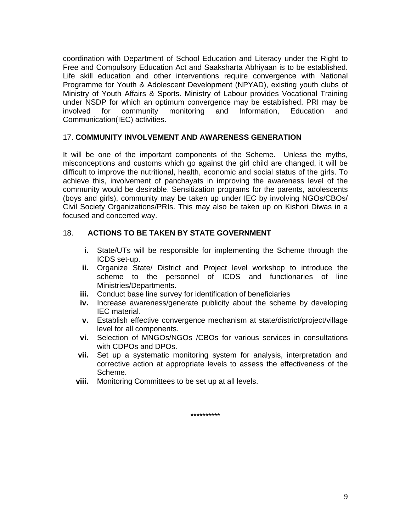coordination with Department of School Education and Literacy under the Right to Free and Compulsory Education Act and Saaksharta Abhiyaan is to be established. Life skill education and other interventions require convergence with National Programme for Youth & Adolescent Development (NPYAD), existing youth clubs of Ministry of Youth Affairs & Sports. Ministry of Labour provides Vocational Training under NSDP for which an optimum convergence may be established. PRI may be involved for community monitoring and Information, Education and Communication(IEC) activities.

#### 17. **COMMUNITY INVOLVEMENT AND AWARENESS GENERATION**

It will be one of the important components of the Scheme. Unless the myths, misconceptions and customs which go against the girl child are changed, it will be difficult to improve the nutritional, health, economic and social status of the girls. To achieve this, involvement of panchayats in improving the awareness level of the community would be desirable. Sensitization programs for the parents, adolescents (boys and girls), community may be taken up under IEC by involving NGOs/CBOs/ Civil Society Organizations/PRIs. This may also be taken up on Kishori Diwas in a focused and concerted way.

# 18. **ACTIONS TO BE TAKEN BY STATE GOVERNMENT**

- **i.** State/UTs will be responsible for implementing the Scheme through the ICDS set-up.
- **ii.** Organize State/ District and Project level workshop to introduce the scheme to the personnel of ICDS and functionaries of line Ministries/Departments.
- **iii.** Conduct base line survey for identification of beneficiaries
- **iv.** Increase awareness/generate publicity about the scheme by developing IEC material.
- **v.** Establish effective convergence mechanism at state/district/project/village level for all components.
- **vi.** Selection of MNGOs/NGOs /CBOs for various services in consultations with CDPOs and DPOs.
- **vii.** Set up a systematic monitoring system for analysis, interpretation and corrective action at appropriate levels to assess the effectiveness of the Scheme.
- **viii.** Monitoring Committees to be set up at all levels.

\*\*\*\*\*\*\*\*\*\*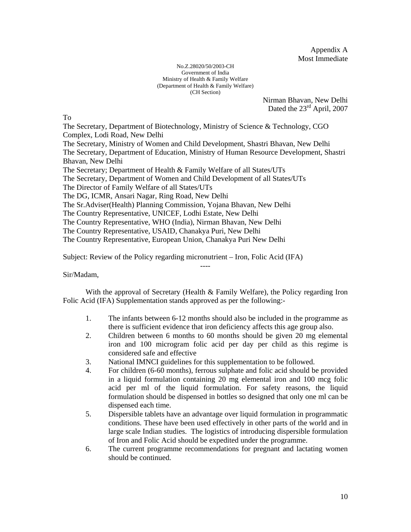Appendix A Most Immediate

#### No.Z.28020/50/2003-CH Government of India Ministry of Health & Family Welfare (Department of Health & Family Welfare) (CH Section)

Nirman Bhavan, New Delhi Dated the 23<sup>rd</sup> April, 2007

To

The Secretary, Department of Biotechnology, Ministry of Science & Technology, CGO Complex, Lodi Road, New Delhi The Secretary, Ministry of Women and Child Development, Shastri Bhavan, New Delhi The Secretary, Department of Education, Ministry of Human Resource Development, Shastri Bhavan, New Delhi The Secretary; Department of Health & Family Welfare of all States/UTs The Secretary, Department of Women and Child Development of all States/UTs The Director of Family Welfare of all States/UTs The DG, ICMR, Ansari Nagar, Ring Road, New Delhi The Sr.Adviser(Health) Planning Commission, Yojana Bhavan, New Delhi The Country Representative, UNICEF, Lodhi Estate, New Delhi The Country Representative, WHO (India), Nirman Bhavan, New Delhi The Country Representative, USAID, Chanakya Puri, New Delhi The Country Representative, European Union, Chanakya Puri New Delhi

Subject: Review of the Policy regarding micronutrient – Iron, Folic Acid (IFA)

Sir/Madam,

With the approval of Secretary (Health & Family Welfare), the Policy regarding Iron Folic Acid (IFA) Supplementation stands approved as per the following:-

----

- 1. The infants between 6-12 months should also be included in the programme as there is sufficient evidence that iron deficiency affects this age group also.
- 2. Children between 6 months to 60 months should be given 20 mg elemental iron and 100 microgram folic acid per day per child as this regime is considered safe and effective
- 3. National IMNCI guidelines for this supplementation to be followed.
- 4. For children (6-60 months), ferrous sulphate and folic acid should be provided in a liquid formulation containing 20 mg elemental iron and 100 mcg folic acid per ml of the liquid formulation. For safety reasons, the liquid formulation should be dispensed in bottles so designed that only one ml can be dispensed each time.
- 5. Dispersible tablets have an advantage over liquid formulation in programmatic conditions. These have been used effectively in other parts of the world and in large scale Indian studies. The logistics of introducing dispersible formulation of Iron and Folic Acid should be expedited under the programme.
- 6. The current programme recommendations for pregnant and lactating women should be continued.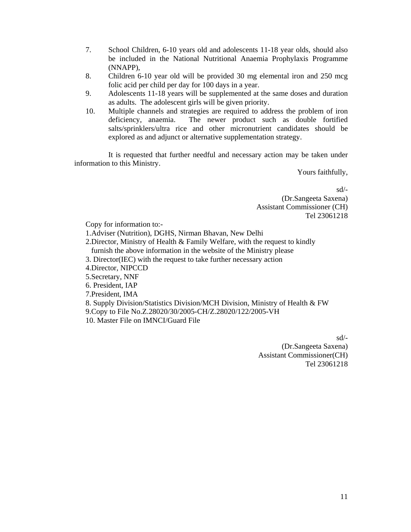- 7. School Children, 6-10 years old and adolescents 11-18 year olds, should also be included in the National Nutritional Anaemia Prophylaxis Programme (NNAPP),
- 8. Children 6-10 year old will be provided 30 mg elemental iron and 250 mcg folic acid per child per day for 100 days in a year.
- 9. Adolescents 11-18 years will be supplemented at the same doses and duration as adults. The adolescent girls will be given priority.
- 10. Multiple channels and strategies are required to address the problem of iron deficiency, anaemia. The newer product such as double fortified salts/sprinklers/ultra rice and other micronutrient candidates should be explored as and adjunct or alternative supplementation strategy.

 It is requested that further needful and necessary action may be taken under information to this Ministry.

Yours faithfully,

sd/- (Dr.Sangeeta Saxena) Assistant Commissioner (CH) Tel 23061218

Copy for information to:-

1.Adviser (Nutrition), DGHS, Nirman Bhavan, New Delhi

2.Director, Ministry of Health & Family Welfare, with the request to kindly furnish the above information in the website of the Ministry please

3. Director(IEC) with the request to take further necessary action

4.Director, NIPCCD

5.Secretary, NNF

6. President, IAP

7.President, IMA

8. Supply Division/Statistics Division/MCH Division, Ministry of Health & FW

9.Copy to File No.Z.28020/30/2005-CH/Z.28020/122/2005-VH

10. Master File on IMNCI/Guard File

sd/-

(Dr.Sangeeta Saxena) Assistant Commissioner(CH) Tel 23061218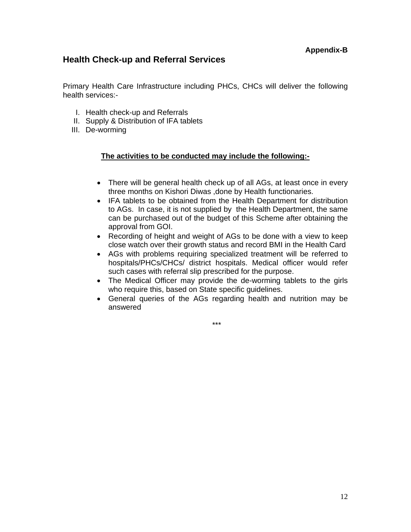# **Health Check-up and Referral Services**

Primary Health Care Infrastructure including PHCs, CHCs will deliver the following health services:-

- I. Health check-up and Referrals
- II. Supply & Distribution of IFA tablets
- III. De-worming

#### **The activities to be conducted may include the following:-**

- There will be general health check up of all AGs, at least once in every three months on Kishori Diwas ,done by Health functionaries.
- IFA tablets to be obtained from the Health Department for distribution to AGs. In case, it is not supplied by the Health Department, the same can be purchased out of the budget of this Scheme after obtaining the approval from GOI.
- Recording of height and weight of AGs to be done with a view to keep close watch over their growth status and record BMI in the Health Card
- AGs with problems requiring specialized treatment will be referred to hospitals/PHCs/CHCs/ district hospitals. Medical officer would refer such cases with referral slip prescribed for the purpose.
- The Medical Officer may provide the de-worming tablets to the girls who require this, based on State specific guidelines.
- General queries of the AGs regarding health and nutrition may be answered

\*\*\*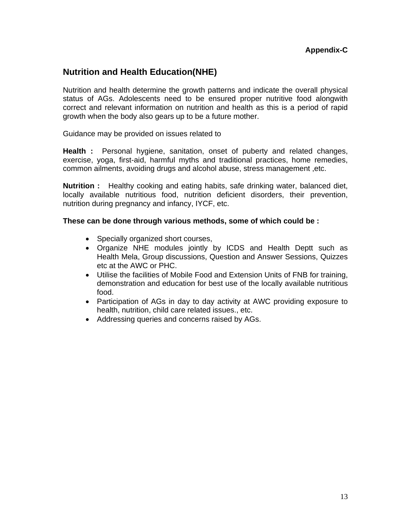# **Nutrition and Health Education(NHE)**

Nutrition and health determine the growth patterns and indicate the overall physical status of AGs. Adolescents need to be ensured proper nutritive food alongwith correct and relevant information on nutrition and health as this is a period of rapid growth when the body also gears up to be a future mother.

Guidance may be provided on issues related to

**Health :** Personal hygiene, sanitation, onset of puberty and related changes, exercise, yoga, first-aid, harmful myths and traditional practices, home remedies, common ailments, avoiding drugs and alcohol abuse, stress management ,etc.

**Nutrition :** Healthy cooking and eating habits, safe drinking water, balanced diet, locally available nutritious food, nutrition deficient disorders, their prevention, nutrition during pregnancy and infancy, IYCF, etc.

#### **These can be done through various methods, some of which could be :**

- Specially organized short courses,
- Organize NHE modules jointly by ICDS and Health Deptt such as Health Mela, Group discussions, Question and Answer Sessions, Quizzes etc at the AWC or PHC.
- Utilise the facilities of Mobile Food and Extension Units of FNB for training, demonstration and education for best use of the locally available nutritious food.
- Participation of AGs in day to day activity at AWC providing exposure to health, nutrition, child care related issues., etc.
- Addressing queries and concerns raised by AGs.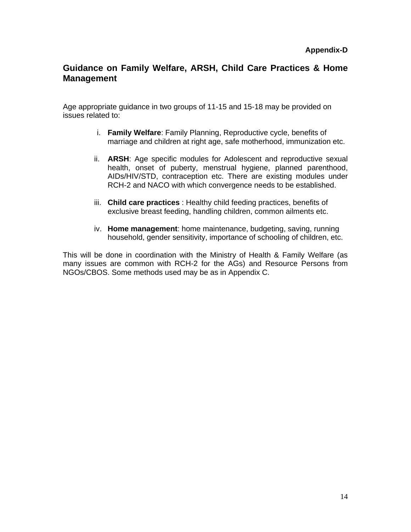# **Guidance on Family Welfare, ARSH, Child Care Practices & Home Management**

Age appropriate guidance in two groups of 11-15 and 15-18 may be provided on issues related to:

- i. **Family Welfare**: Family Planning, Reproductive cycle, benefits of marriage and children at right age, safe motherhood, immunization etc.
- ii. **ARSH**: Age specific modules for Adolescent and reproductive sexual health, onset of puberty, menstrual hygiene, planned parenthood, AIDs/HIV/STD, contraception etc. There are existing modules under RCH-2 and NACO with which convergence needs to be established.
- iii. **Child care practices** : Healthy child feeding practices, benefits of exclusive breast feeding, handling children, common ailments etc.
- iv. **Home management**: home maintenance, budgeting, saving, running household, gender sensitivity, importance of schooling of children, etc.

This will be done in coordination with the Ministry of Health & Family Welfare (as many issues are common with RCH-2 for the AGs) and Resource Persons from NGOs/CBOS. Some methods used may be as in Appendix C.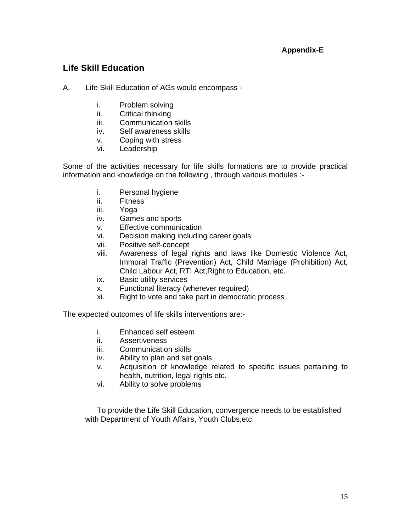# **Appendix-E**

# **Life Skill Education**

- A. Life Skill Education of AGs would encompass
	- i. Problem solving
	- ii. Critical thinking
	- iii. Communication skills
	- iv. Self awareness skills
	- v. Coping with stress
	- vi. Leadership

Some of the activities necessary for life skills formations are to provide practical information and knowledge on the following , through various modules :-

- i. Personal hygiene
- ii. Fitness
- iii. Yoga
- iv. Games and sports
- v. Effective communication
- vi. Decision making including career goals
- vii. Positive self-concept
- viii. Awareness of legal rights and laws like Domestic Violence Act, Immoral Traffic (Prevention) Act, Child Marriage (Prohibition) Act, Child Labour Act, RTI Act,Right to Education, etc.
- ix. Basic utility services
- x. Functional literacy (wherever required)
- xi. Right to vote and take part in democratic process

The expected outcomes of life skills interventions are:-

- i. Enhanced self esteem
- ii. Assertiveness
- iii. Communication skills
- iv. Ability to plan and set goals
- v. Acquisition of knowledge related to specific issues pertaining to health, nutrition, legal rights etc.
- vi. Ability to solve problems

To provide the Life Skill Education, convergence needs to be established with Department of Youth Affairs, Youth Clubs,etc.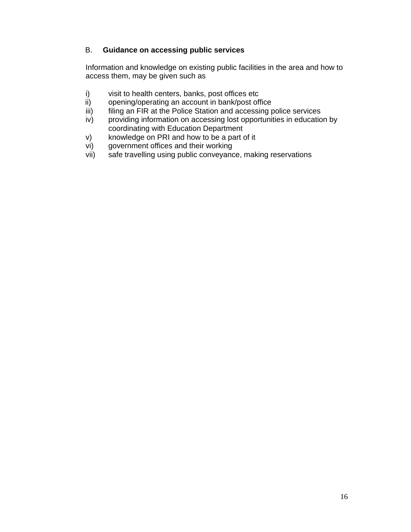### B. **Guidance on accessing public services**

Information and knowledge on existing public facilities in the area and how to access them, may be given such as

- i) visit to health centers, banks, post offices etc
- ii) opening/operating an account in bank/post office
- iii) filing an FIR at the Police Station and accessing police services
- iv) providing information on accessing lost opportunities in education by coordinating with Education Department
- v) knowledge on PRI and how to be a part of it
- vi) government offices and their working
- vii) safe travelling using public conveyance, making reservations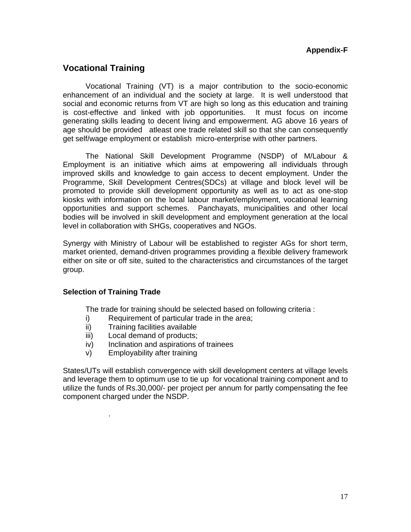# **Vocational Training**

Vocational Training (VT) is a major contribution to the socio-economic enhancement of an individual and the society at large. It is well understood that social and economic returns from VT are high so long as this education and training is cost-effective and linked with job opportunities. It must focus on income generating skills leading to decent living and empowerment. AG above 16 years of age should be provided atleast one trade related skill so that she can consequently get self/wage employment or establish micro-enterprise with other partners.

 The National Skill Development Programme (NSDP) of M/Labour & Employment is an initiative which aims at empowering all individuals through improved skills and knowledge to gain access to decent employment. Under the Programme, Skill Development Centres(SDCs) at village and block level will be promoted to provide skill development opportunity as well as to act as one-stop kiosks with information on the local labour market/employment, vocational learning opportunities and support schemes. Panchayats, municipalities and other local bodies will be involved in skill development and employment generation at the local level in collaboration with SHGs, cooperatives and NGOs.

Synergy with Ministry of Labour will be established to register AGs for short term, market oriented, demand-driven programmes providing a flexible delivery framework either on site or off site, suited to the characteristics and circumstances of the target group.

#### **Selection of Training Trade**

.

The trade for training should be selected based on following criteria :

- i) Requirement of particular trade in the area;
- ii) Training facilities available
- iii) Local demand of products;
- iv) Inclination and aspirations of trainees
- v) Employability after training

States/UTs will establish convergence with skill development centers at village levels and leverage them to optimum use to tie up for vocational training component and to utilize the funds of Rs.30,000/- per project per annum for partly compensating the fee component charged under the NSDP.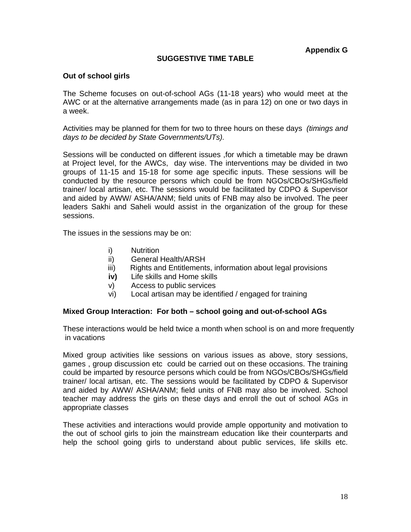### **SUGGESTIVE TIME TABLE**

#### **Out of school girls**

The Scheme focuses on out-of-school AGs (11-18 years) who would meet at the AWC or at the alternative arrangements made (as in para 12) on one or two days in a week.

Activities may be planned for them for two to three hours on these days*(timings and days to be decided by State Governments/UTs).* 

Sessions will be conducted on different issues ,for which a timetable may be drawn at Project level, for the AWCs, day wise. The interventions may be divided in two groups of 11-15 and 15-18 for some age specific inputs. These sessions will be conducted by the resource persons which could be from NGOs/CBOs/SHGs/field trainer/ local artisan, etc. The sessions would be facilitated by CDPO & Supervisor and aided by AWW/ ASHA/ANM; field units of FNB may also be involved. The peer leaders Sakhi and Saheli would assist in the organization of the group for these sessions.

The issues in the sessions may be on:

- i) Nutrition
- ii) General Health/ARSH
- iii) Rights and Entitlements, information about legal provisions
- **iv)** Life skills and Home skills
- v) Access to public services
- vi) Local artisan may be identified / engaged for training

#### **Mixed Group Interaction: For both – school going and out-of-school AGs**

These interactions would be held twice a month when school is on and more frequently in vacations

Mixed group activities like sessions on various issues as above, story sessions, games , group discussion etc could be carried out on these occasions. The training could be imparted by resource persons which could be from NGOs/CBOs/SHGs/field trainer/ local artisan, etc. The sessions would be facilitated by CDPO & Supervisor and aided by AWW/ ASHA/ANM; field units of FNB may also be involved. School teacher may address the girls on these days and enroll the out of school AGs in appropriate classes

These activities and interactions would provide ample opportunity and motivation to the out of school girls to join the mainstream education like their counterparts and help the school going girls to understand about public services, life skills etc.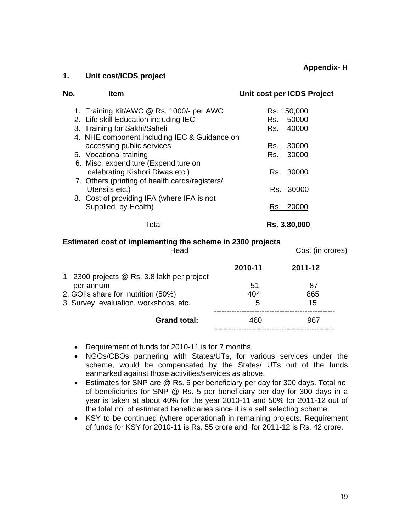**Appendix- H**

#### **1. Unit cost/ICDS project**

| No. | <b>Item</b>                                    | Unit cost per ICDS Project |
|-----|------------------------------------------------|----------------------------|
|     | 1. Training Kit/AWC @ Rs. 1000/- per AWC       | Rs. 150,000                |
|     | 2. Life skill Education including IEC          | 50000<br>Rs.               |
|     | 3. Training for Sakhi/Saheli                   | 40000<br>Rs.               |
|     | 4. NHE component including IEC & Guidance on   |                            |
|     | accessing public services                      | 30000<br>Rs.               |
|     | 5. Vocational training                         | 30000<br>Rs.               |
|     | 6. Misc. expenditure (Expenditure on           |                            |
|     | celebrating Kishori Diwas etc.)                | Rs. 30000                  |
|     | 7. Others (printing of health cards/registers/ |                            |
|     | Utensils etc.)                                 | 30000<br>Rs. I             |
|     | 8. Cost of providing IFA (where IFA is not     |                            |
|     | Supplied by Health)                            | 20000<br>Rs.               |
|     |                                                |                            |
|     | Total                                          | Rs. 3,80,000               |

#### **Estimated cost of implementing the scheme in 2300 projects**

|         | Cost (in crores) |
|---------|------------------|
| 2010-11 | 2011-12          |
| 51      | 87               |
| 404     | 865              |
| 5       | 15               |
| 460     | 967              |
|         |                  |

- Requirement of funds for 2010-11 is for 7 months.
- NGOs/CBOs partnering with States/UTs, for various services under the scheme, would be compensated by the States/ UTs out of the funds earmarked against those activities/services as above.
- Estimates for SNP are @ Rs. 5 per beneficiary per day for 300 days. Total no. of beneficiaries for SNP @ Rs. 5 per beneficiary per day for 300 days in a year is taken at about 40% for the year 2010-11 and 50% for 2011-12 out of the total no. of estimated beneficiaries since it is a self selecting scheme.
- KSY to be continued (where operational) in remaining projects. Requirement of funds for KSY for 2010-11 is Rs. 55 crore and for 2011-12 is Rs. 42 crore.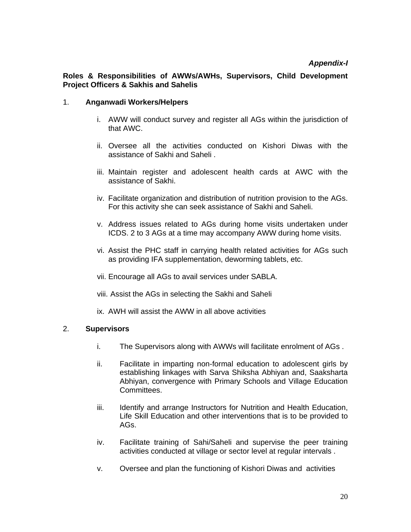# *Appendix-I*

### **Roles & Responsibilities of AWWs/AWHs, Supervisors, Child Development Project Officers & Sakhis and Sahelis**

#### 1. **Anganwadi Workers/Helpers**

- i. AWW will conduct survey and register all AGs within the jurisdiction of that AWC.
- ii. Oversee all the activities conducted on Kishori Diwas with the assistance of Sakhi and Saheli .
- iii. Maintain register and adolescent health cards at AWC with the assistance of Sakhi.
- iv. Facilitate organization and distribution of nutrition provision to the AGs. For this activity she can seek assistance of Sakhi and Saheli.
- v. Address issues related to AGs during home visits undertaken under ICDS. 2 to 3 AGs at a time may accompany AWW during home visits.
- vi. Assist the PHC staff in carrying health related activities for AGs such as providing IFA supplementation, deworming tablets, etc.
- vii. Encourage all AGs to avail services under SABLA.
- viii. Assist the AGs in selecting the Sakhi and Saheli

ix. AWH will assist the AWW in all above activities

#### 2. **Supervisors**

- i. The Supervisors along with AWWs will facilitate enrolment of AGs .
- ii. Facilitate in imparting non-formal education to adolescent girls by establishing linkages with Sarva Shiksha Abhiyan and, Saaksharta Abhiyan, convergence with Primary Schools and Village Education Committees.
- iii. Identify and arrange Instructors for Nutrition and Health Education, Life Skill Education and other interventions that is to be provided to AGs.
- iv. Facilitate training of Sahi/Saheli and supervise the peer training activities conducted at village or sector level at regular intervals .
- v. Oversee and plan the functioning of Kishori Diwas and activities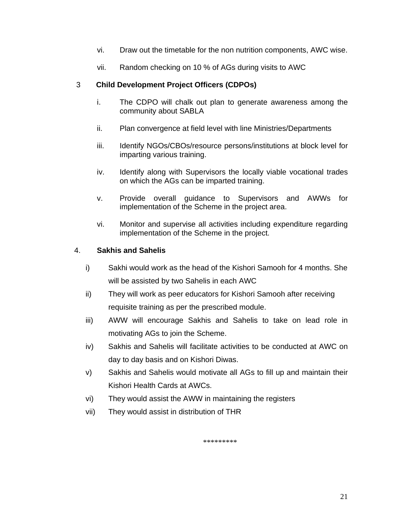- vi. Draw out the timetable for the non nutrition components, AWC wise.
- vii. Random checking on 10 % of AGs during visits to AWC

### 3 **Child Development Project Officers (CDPOs)**

- i. The CDPO will chalk out plan to generate awareness among the community about SABLA
- ii. Plan convergence at field level with line Ministries/Departments
- iii. Identify NGOs/CBOs/resource persons/institutions at block level for imparting various training.
- iv. Identify along with Supervisors the locally viable vocational trades on which the AGs can be imparted training.
- v. Provide overall guidance to Supervisors and AWWs for implementation of the Scheme in the project area.
- vi. Monitor and supervise all activities including expenditure regarding implementation of the Scheme in the project.

#### 4. **Sakhis and Sahelis**

- i) Sakhi would work as the head of the Kishori Samooh for 4 months. She will be assisted by two Sahelis in each AWC
- ii) They will work as peer educators for Kishori Samooh after receiving requisite training as per the prescribed module.
- iii) AWW will encourage Sakhis and Sahelis to take on lead role in motivating AGs to join the Scheme.
- iv) Sakhis and Sahelis will facilitate activities to be conducted at AWC on day to day basis and on Kishori Diwas.
- v) Sakhis and Sahelis would motivate all AGs to fill up and maintain their Kishori Health Cards at AWCs.
- vi) They would assist the AWW in maintaining the registers
- vii) They would assist in distribution of THR

\*\*\*\*\*\*\*\*\*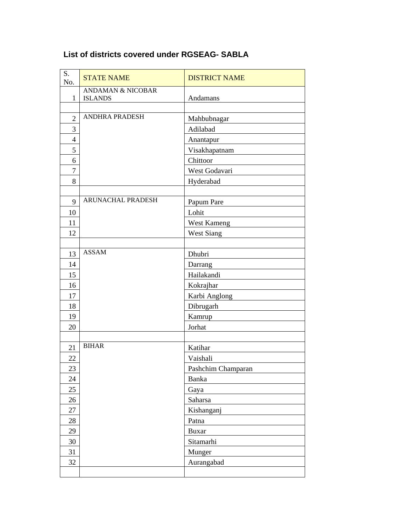| S.<br>No.      | <b>STATE NAME</b>            | <b>DISTRICT NAME</b> |
|----------------|------------------------------|----------------------|
|                | <b>ANDAMAN &amp; NICOBAR</b> |                      |
| $\mathbf 1$    | <b>ISLANDS</b>               | Andamans             |
|                | <b>ANDHRA PRADESH</b>        |                      |
| $\overline{2}$ |                              | Mahbubnagar          |
| 3              |                              | Adilabad             |
| $\overline{4}$ |                              | Anantapur            |
| 5              |                              | Visakhapatnam        |
| 6              |                              | Chittoor             |
| $\overline{7}$ |                              | West Godavari        |
| 8              |                              | Hyderabad            |
|                |                              |                      |
| 9              | <b>ARUNACHAL PRADESH</b>     | Papum Pare           |
| 10             |                              | Lohit                |
| 11             |                              | <b>West Kameng</b>   |
| 12             |                              | West Siang           |
|                |                              |                      |
| 13             | <b>ASSAM</b>                 | Dhubri               |
| 14             |                              | Darrang              |
| 15             |                              | Hailakandi           |
| 16             |                              | Kokrajhar            |
| 17             |                              | Karbi Anglong        |
| 18             |                              | Dibrugarh            |
| 19             |                              | Kamrup               |
| 20             |                              | Jorhat               |
|                |                              |                      |
| 21             | <b>BIHAR</b>                 | Katihar              |
| 22             |                              | Vaishali             |
| 23             |                              | Pashchim Champaran   |
| 24             |                              | Banka                |
| 25             |                              | Gaya                 |
| 26             |                              | Saharsa              |
| 27             |                              | Kishanganj           |
| 28             |                              | Patna                |
| 29             |                              | <b>Buxar</b>         |
| 30             |                              | Sitamarhi            |
| 31             |                              | Munger               |
| 32             |                              | Aurangabad           |
|                |                              |                      |

# **List of districts covered under RGSEAG- SABLA**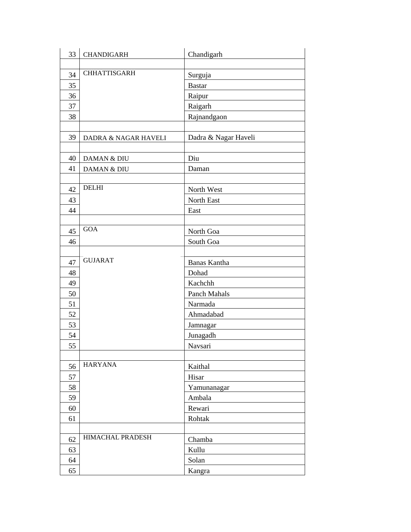| 33 | <b>CHANDIGARH</b>       | Chandigarh           |
|----|-------------------------|----------------------|
|    |                         |                      |
| 34 | <b>CHHATTISGARH</b>     | Surguja              |
| 35 |                         | <b>Bastar</b>        |
| 36 |                         | Raipur               |
| 37 |                         | Raigarh              |
| 38 |                         | Rajnandgaon          |
|    |                         |                      |
| 39 | DADRA & NAGAR HAVELI    | Dadra & Nagar Haveli |
|    |                         |                      |
| 40 | DAMAN & DIU             | Diu                  |
| 41 | DAMAN & DIU             | Daman                |
|    |                         |                      |
| 42 | <b>DELHI</b>            | North West           |
| 43 |                         | North East           |
| 44 |                         | East                 |
|    |                         |                      |
| 45 | <b>GOA</b>              | North Goa            |
| 46 |                         | South Goa            |
|    |                         |                      |
| 47 | <b>GUJARAT</b>          | Banas Kantha         |
| 48 |                         | Dohad                |
| 49 |                         | Kachchh              |
| 50 |                         | Panch Mahals         |
| 51 |                         | Narmada              |
| 52 |                         | Ahmadabad            |
| 53 |                         | Jamnagar             |
| 54 |                         | Junagadh             |
| 55 |                         | Navsari              |
|    |                         |                      |
| 56 | <b>HARYANA</b>          | Kaithal              |
| 57 |                         | Hisar                |
| 58 |                         | Yamunanagar          |
| 59 |                         | Ambala               |
| 60 |                         | Rewari               |
| 61 |                         | Rohtak               |
|    |                         |                      |
| 62 | <b>HIMACHAL PRADESH</b> | Chamba               |
| 63 |                         | Kullu                |
| 64 |                         | Solan                |
| 65 |                         | Kangra               |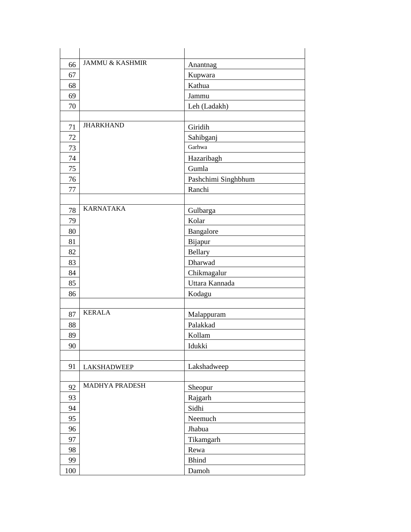| 66  | <b>JAMMU &amp; KASHMIR</b> | Anantnag            |
|-----|----------------------------|---------------------|
| 67  |                            | Kupwara             |
| 68  |                            | Kathua              |
| 69  |                            | Jammu               |
| 70  |                            | Leh (Ladakh)        |
|     |                            |                     |
| 71  | <b>JHARKHAND</b>           | Giridih             |
| 72  |                            | Sahibganj           |
| 73  |                            | Garhwa              |
| 74  |                            | Hazaribagh          |
| 75  |                            | Gumla               |
| 76  |                            | Pashchimi Singhbhum |
| 77  |                            | Ranchi              |
|     |                            |                     |
| 78  | <b>KARNATAKA</b>           | Gulbarga            |
| 79  |                            | Kolar               |
| 80  |                            | Bangalore           |
| 81  |                            | Bijapur             |
| 82  |                            | <b>Bellary</b>      |
| 83  |                            | Dharwad             |
| 84  |                            | Chikmagalur         |
| 85  |                            | Uttara Kannada      |
| 86  |                            | Kodagu              |
|     |                            |                     |
| 87  | <b>KERALA</b>              | Malappuram          |
| 88  |                            | Palakkad            |
| 89  |                            | Kollam              |
| 90  |                            | Idukki              |
|     |                            |                     |
| 91  | <b>LAKSHADWEEP</b>         | Lakshadweep         |
|     |                            |                     |
| 92  | MADHYA PRADESH             | Sheopur             |
| 93  |                            | Rajgarh             |
| 94  |                            | Sidhi               |
| 95  |                            | Neemuch             |
| 96  |                            | Jhabua              |
| 97  |                            | Tikamgarh           |
| 98  |                            | Rewa                |
| 99  |                            | <b>Bhind</b>        |
| 100 |                            | Damoh               |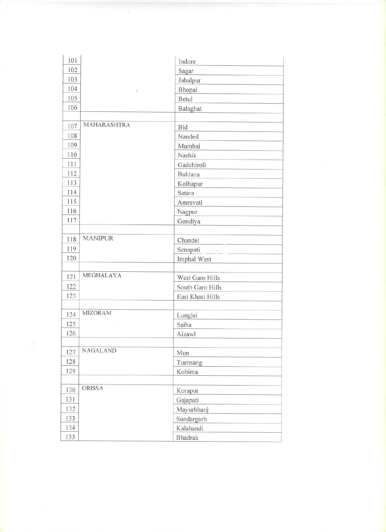| 101        |                    | Indore                                                                                         |
|------------|--------------------|------------------------------------------------------------------------------------------------|
| 102        |                    | Sagar                                                                                          |
| 103        |                    | Jabalpur                                                                                       |
| 104        |                    | Bhopal                                                                                         |
| 105        |                    | Betul                                                                                          |
| 106        |                    | Balaghat                                                                                       |
|            |                    |                                                                                                |
| 107        | <b>MAHARASHTRA</b> | Bid                                                                                            |
| 108        |                    | Nanded                                                                                         |
| 109        |                    | Mumbai                                                                                         |
| 110        |                    | Nashik                                                                                         |
| 111        |                    | Gadchiroli                                                                                     |
| 112        |                    | <b>Buldana</b>                                                                                 |
| 113        |                    | Kolhapur                                                                                       |
| 114        |                    | Satara                                                                                         |
| 115        |                    | Amravati                                                                                       |
| 116        |                    | Nagpur                                                                                         |
| 117        |                    | Gondiya                                                                                        |
|            |                    |                                                                                                |
| 118        | <b>MANIPUR</b>     | Chandel                                                                                        |
| 119        |                    | $\mathcal{O}(\frac{1}{\lambda^{\alpha}})$ .<br><br><br><br><br><br><br><br>Senapati.<br>$\leq$ |
| 120        |                    | Imphal West                                                                                    |
|            |                    |                                                                                                |
| 121        | MEGHALAYA          | West Garo Hills                                                                                |
| 122        |                    | South Garo Hills                                                                               |
| 123        |                    | East Khasi Hills                                                                               |
|            |                    |                                                                                                |
| 124        | <b>MIZORAM</b>     | Lunglei                                                                                        |
| 125        |                    | Saiha                                                                                          |
| 126        |                    | Aizawl                                                                                         |
|            |                    |                                                                                                |
| 127        | <b>NAGALAND</b>    | Mon                                                                                            |
| 128        |                    | Tuensang                                                                                       |
| 129        |                    | Kohima                                                                                         |
|            |                    |                                                                                                |
| 130        | <b>ORISSA</b>      | Koraput                                                                                        |
| 131        |                    | Gajapati                                                                                       |
| 132        |                    | Mayurbhanj                                                                                     |
| 133        |                    | Sundargarh                                                                                     |
|            |                    |                                                                                                |
| 134<br>135 |                    | Kalahandi<br><b>Bhadrak</b>                                                                    |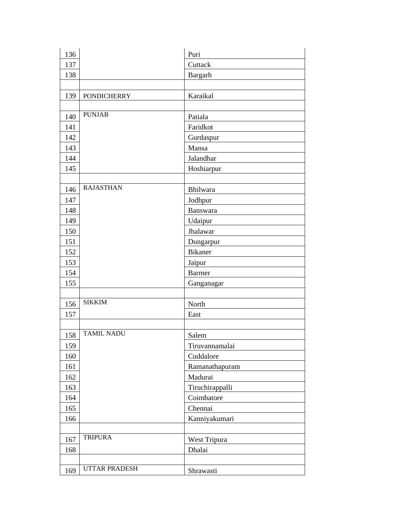| 136 |                      | Puri            |
|-----|----------------------|-----------------|
| 137 |                      | Cuttack         |
| 138 |                      | Bargarh         |
|     |                      |                 |
| 139 | <b>PONDICHERRY</b>   | Karaikal        |
|     |                      |                 |
| 140 | <b>PUNJAB</b>        | Patiala         |
| 141 |                      | Faridkot        |
| 142 |                      | Gurdaspur       |
| 143 |                      | Mansa           |
| 144 |                      | Jalandhar       |
| 145 |                      | Hoshiarpur      |
|     |                      |                 |
| 146 | <b>RAJASTHAN</b>     | Bhilwara        |
| 147 |                      | Jodhpur         |
| 148 |                      | Banswara        |
| 149 |                      | Udaipur         |
| 150 |                      | Jhalawar        |
| 151 |                      | Dungarpur       |
| 152 |                      | <b>Bikaner</b>  |
| 153 |                      | Jaipur          |
| 154 |                      | <b>Barmer</b>   |
| 155 |                      | Ganganagar      |
|     |                      |                 |
| 156 | <b>SIKKIM</b>        | North           |
| 157 |                      | East            |
|     |                      |                 |
| 158 | <b>TAMIL NADU</b>    | Salem           |
| 159 |                      | Tiruvannamalai  |
| 160 |                      | Cuddalore       |
| 161 |                      | Ramanathapuram  |
| 162 |                      | Madurai         |
| 163 |                      | Tiruchirappalli |
| 164 |                      | Coimbatore      |
| 165 |                      | Chennai         |
| 166 |                      | Kanniyakumari   |
|     |                      |                 |
| 167 | <b>TRIPURA</b>       | West Tripura    |
| 168 |                      | Dhalai          |
|     |                      |                 |
| 169 | <b>UTTAR PRADESH</b> | Shrawasti       |